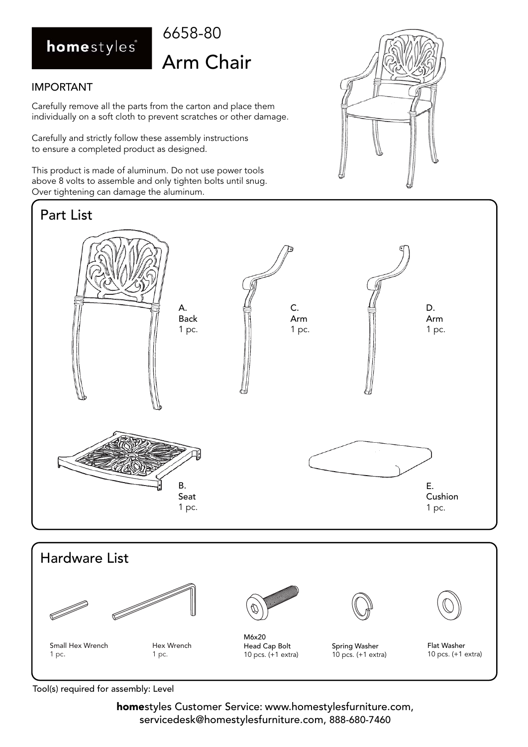### homestyles

### 6658-80 Arm Chair

#### IMPORTANT

Carefully remove all the parts from the carton and place them individually on a soft cloth to prevent scratches or other damage.

Carefully and strictly follow these assembly instructions to ensure a completed product as designed.

This product is made of aluminum. Do not use power tools above 8 volts to assemble and only tighten bolts until snug. Over tightening can damage the aluminum.









Small Hex Wrench 1 pc.

Hex Wrench 1 pc.

M6x20 Head Cap Bolt 10 pcs. (+1 extra)

Spring Washer 10 pcs. (+1 extra)

Flat Washer 10 pcs. (+1 extra)

Tool(s) required for assembly: Level

**home**styles Customer Service: www.homestylesfurniture.com, servicedesk@homestylesfurniture.com, 888-680-7460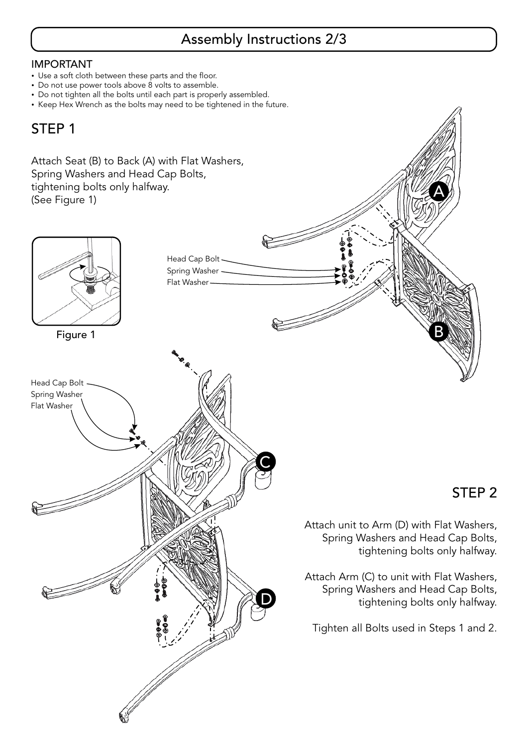#### Assembly Instructions 2/3

#### IMPORTANT

- Use a soft cloth between these parts and the floor. -
- Do not use power tools above 8 volts to assemble. -
- Do not tighten all the bolts until each part is properly assembled. -
- Keep Hex Wrench as the bolts may need to be tightened in the future.

#### STEP 1

Attach Seat (B) to Back (A) with Flat Washers, Spring Washers and Head Cap Bolts, tightening bolts only halfway. (See Figure 1)



#### STEP 2

A

Attach unit to Arm (D) with Flat Washers, Spring Washers and Head Cap Bolts, tightening bolts only halfway.

Attach Arm (C) to unit with Flat Washers, Spring Washers and Head Cap Bolts, tightening bolts only halfway.

Tighten all Bolts used in Steps 1 and 2.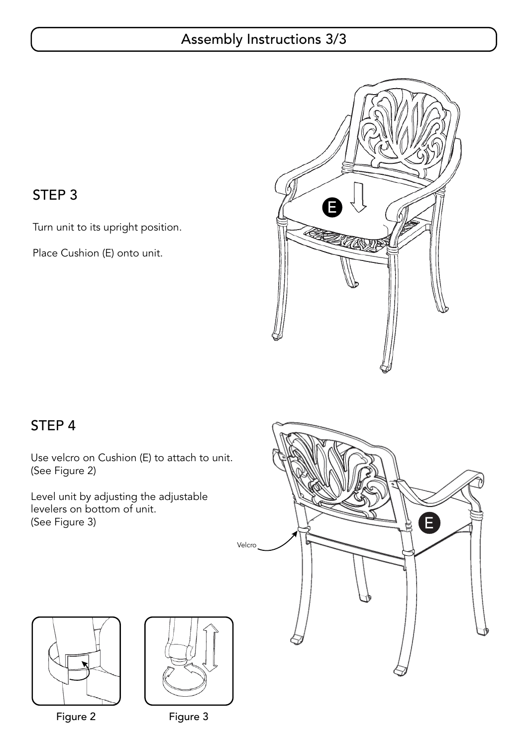#### Assembly Instructions 3/3



#### STEP 3

Turn unit to its upright position.

Place Cushion (E) onto unit.

#### STEP 4

Use velcro on Cushion (E) to attach to unit. (See Figure 2)

Level unit by adjusting the adjustable levelers on bottom of unit. (See Figure 3)







Figure 2 Figure 3